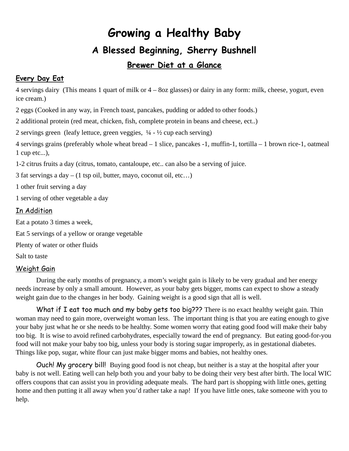# **Growing a Healthy Baby A Blessed Beginning, Sherry Bushnell**

## **Brewer Diet at a Glance**

#### **Every Day Eat**

4 servings dairy (This means 1 quart of milk or 4 – 8oz glasses) or dairy in any form: milk, cheese, yogurt, even ice cream.)

2 eggs (Cooked in any way, in French toast, pancakes, pudding or added to other foods.)

2 additional protein (red meat, chicken, fish, complete protein in beans and cheese, ect..)

2 servings green (leafy lettuce, green veggies,  $\frac{1}{4}$  -  $\frac{1}{2}$  cup each serving)

4 servings grains (preferably whole wheat bread – 1 slice, pancakes -1, muffin-1, tortilla – 1 brown rice-1, oatmeal 1 cup etc...),

1-2 citrus fruits a day (citrus, tomato, cantaloupe, etc.. can also be a serving of juice.

3 fat servings a day – (1 tsp oil, butter, mayo, coconut oil, etc…)

1 other fruit serving a day

1 serving of other vegetable a day

#### In Addition

Eat a potato 3 times a week, Eat 5 servings of a yellow or orange vegetable Plenty of water or other fluids Salt to taste

#### Weight Gain

During the early months of pregnancy, a mom's weight gain is likely to be very gradual and her energy needs increase by only a small amount. However, as your baby gets bigger, moms can expect to show a steady weight gain due to the changes in her body. Gaining weight is a good sign that all is well.

What if I eat too much and my baby gets too big??? There is no exact healthy weight gain. Thin woman may need to gain more, overweight woman less. The important thing is that you are eating enough to give your baby just what he or she needs to be healthy. Some women worry that eating good food will make their baby too big. It is wise to avoid refined carbohydrates, especially toward the end of pregnancy. But eating good-for-you food will not make your baby too big, unless your body is storing sugar improperly, as in gestational diabetes. Things like pop, sugar, white flour can just make bigger moms and babies, not healthy ones.

Ouch! My grocery bill! Buying good food is not cheap, but neither is a stay at the hospital after your baby is not well. Eating well can help both you and your baby to be doing their very best after birth. The local WIC offers coupons that can assist you in providing adequate meals. The hard part is shopping with little ones, getting home and then putting it all away when you'd rather take a nap! If you have little ones, take someone with you to help.